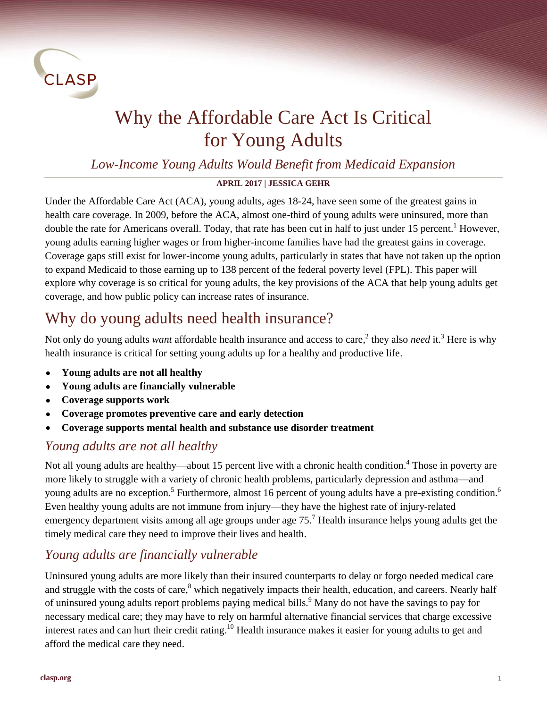

# Why the Affordable Care Act Is Critical for Young Adults

### *Low-Income Young Adults Would Benefit from Medicaid Expansion*

#### **APRIL 2017 | JESSICA GEHR**

Under the Affordable Care Act (ACA), young adults, ages 18-24, have seen some of the greatest gains in health care coverage. In 2009, before the ACA, almost one-third of young adults were uninsured, more than double the rate for Americans overall. Today, that rate has been cut in half to just under 15 percent.<sup>1</sup> However, young adults earning higher wages or from higher-income families have had the greatest gains in coverage. Coverage gaps still exist for lower-income young adults, particularly in states that have not taken up the option to expand Medicaid to those earning up to 138 percent of the federal poverty level (FPL). This paper will explore why coverage is so critical for young adults, the key provisions of the ACA that help young adults get coverage, and how public policy can increase rates of insurance.

# Why do young adults need health insurance?

Not only do young adults *want* affordable health insurance and access to care,<sup>2</sup> they also *need* it.<sup>3</sup> Here is why health insurance is critical for setting young adults up for a healthy and productive life.

- **Young adults are not all healthy**
- **Young adults are financially vulnerable**
- **Coverage supports work**
- **Coverage promotes preventive care and early detection**
- **Coverage supports mental health and substance use disorder treatment**

### *Young adults are not all healthy*

Not all young adults are healthy—about 15 percent live with a chronic health condition.<sup>4</sup> Those in poverty are more likely to struggle with a variety of chronic health problems, particularly depression and asthma—and young adults are no exception.<sup>5</sup> Furthermore, almost 16 percent of young adults have a pre-existing condition.<sup>6</sup> Even healthy young adults are not immune from injury—they have the highest rate of injury-related emergency department visits among all age groups under age 75.<sup>7</sup> Health insurance helps young adults get the timely medical care they need to improve their lives and health.

## *Young adults are financially vulnerable*

Uninsured young adults are more likely than their insured counterparts to delay or forgo needed medical care and struggle with the costs of care,<sup>8</sup> which negatively impacts their health, education, and careers. Nearly half of uninsured young adults report problems paying medical bills.<sup>9</sup> Many do not have the savings to pay for necessary medical care; they may have to rely on harmful alternative financial services that charge excessive interest rates and can hurt their credit rating.<sup>10</sup> Health insurance makes it easier for young adults to get and afford the medical care they need.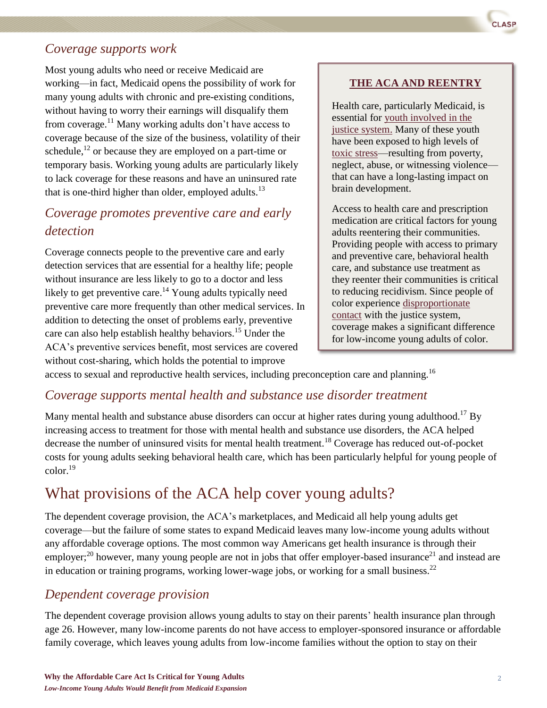#### *Coverage supports work*

Most young adults who need or receive Medicaid are working—in fact, Medicaid opens the possibility of work for many young adults with chronic and pre-existing conditions, without having to worry their earnings will disqualify them from coverage.<sup>11</sup> Many working adults don't have access to coverage because of the size of the business, volatility of their schedule, $^{12}$  or because they are employed on a part-time or temporary basis. Working young adults are particularly likely to lack coverage for these reasons and have an uninsured rate that is one-third higher than older, employed adults.<sup>13</sup>

### *Coverage promotes preventive care and early detection*

Coverage connects people to the preventive care and early detection services that are essential for a healthy life; people without insurance are less likely to go to a doctor and less likely to get preventive care.<sup>14</sup> Young adults typically need preventive care more frequently than other medical services. In addition to detecting the onset of problems early, preventive care can also help establish healthy behaviors.<sup>15</sup> Under the ACA's preventive services benefit, most services are covered without cost-sharing, which holds the potential to improve

#### **THE ACA AND REENTRY**

Health care, particularly Medicaid, is essential for [youth involved in the](http://www.clasp.org/issues/youth/pages/medicaid-is-critical-support-for-citizens-re-entering-their-communities-from-incarceration)  [justice system.](http://www.clasp.org/issues/youth/pages/medicaid-is-critical-support-for-citizens-re-entering-their-communities-from-incarceration) Many of these youth have been exposed to high levels of [toxic stress—](http://www.clasp.org/resources-and-publications/publication-1/June-2014-Youth-Team-Hill-Briefing_Healthy-Communities.pdf)resulting from poverty, neglect, abuse, or witnessing violence that can have a long-lasting impact on brain development.

Access to health care and prescription medication are critical factors for young adults reentering their communities. Providing people with access to primary and preventive care, behavioral health care, and substance use treatment as they reenter their communities is critical to reducing recidivism. Since people of color experience [disproportionate](http://www.sentencingproject.org/publications/black-lives-matter-eliminating-racial-inequity-in-the-criminal-justice-system)  [contact](http://www.sentencingproject.org/publications/black-lives-matter-eliminating-racial-inequity-in-the-criminal-justice-system) with the justice system, coverage makes a significant difference for low-income young adults of color.

access to sexual and reproductive health services, including preconception care and planning.<sup>16</sup>

#### *Coverage supports mental health and substance use disorder treatment*

Many mental health and substance abuse disorders can occur at higher rates during young adulthood.<sup>17</sup> By increasing access to treatment for those with mental health and substance use disorders, the ACA helped decrease the number of uninsured visits for mental health treatment.<sup>18</sup> Coverage has reduced out-of-pocket costs for young adults seeking behavioral health care, which has been particularly helpful for young people of  $\text{color}^{19}$ 

# What provisions of the ACA help cover young adults?

The dependent coverage provision, the ACA's marketplaces, and Medicaid all help young adults get coverage—but the failure of some states to expand Medicaid leaves many low-income young adults without any affordable coverage options. The most common way Americans get health insurance is through their employer;<sup>20</sup> however, many young people are not in jobs that offer employer-based insurance<sup>21</sup> and instead are in education or training programs, working lower-wage jobs, or working for a small business.<sup>22</sup>

#### *Dependent coverage provision*

The dependent coverage provision allows young adults to stay on their parents' health insurance plan through age 26. However, many low-income parents do not have access to employer-sponsored insurance or affordable family coverage, which leaves young adults from low-income families without the option to stay on their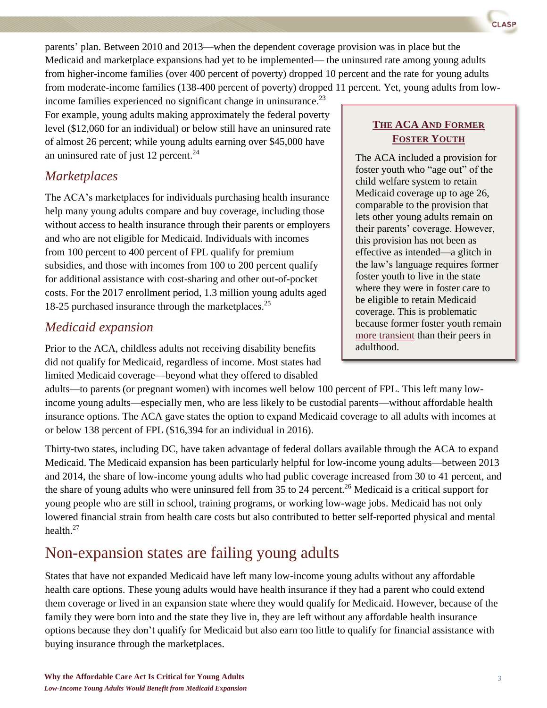

income families experienced no significant change in uninsurance.<sup>23</sup> For example, young adults making approximately the federal poverty level (\$12,060 for an individual) or below still have an uninsured rate of almost 26 percent; while young adults earning over \$45,000 have an uninsured rate of just 12 percent. $^{24}$ 

#### *Marketplaces*

The ACA's marketplaces for individuals purchasing health insurance help many young adults compare and buy coverage, including those without access to health insurance through their parents or employers and who are not eligible for Medicaid. Individuals with incomes from 100 percent to 400 percent of FPL qualify for premium subsidies, and those with incomes from 100 to 200 percent qualify for additional assistance with cost-sharing and other out-of-pocket costs. For the 2017 enrollment period, 1.3 million young adults aged 18-25 purchased insurance through the marketplaces. 25

#### *Medicaid expansion*

Prior to the ACA, childless adults not receiving disability benefits did not qualify for Medicaid, regardless of income. Most states had limited Medicaid coverage—beyond what they offered to disabled

adults—to parents (or pregnant women) with incomes well below 100 percent of FPL. This left many lowincome young adults—especially men, who are less likely to be custodial parents—without affordable health insurance options. The ACA gave states the option to expand Medicaid coverage to all adults with incomes at or below 138 percent of FPL (\$16,394 for an individual in 2016).

Thirty-two states, including DC, have taken advantage of federal dollars available through the ACA to expand Medicaid. The Medicaid expansion has been particularly helpful for low-income young adults—between 2013 and 2014, the share of low-income young adults who had public coverage increased from 30 to 41 percent, and the share of young adults who were uninsured fell from 35 to 24 percent.<sup>26</sup> Medicaid is a critical support for young people who are still in school, training programs, or working low-wage jobs. Medicaid has not only lowered financial strain from health care costs but also contributed to better self-reported physical and mental health. 27

# Non-expansion states are failing young adults

States that have not expanded Medicaid have left many low-income young adults without any affordable health care options. These young adults would have health insurance if they had a parent who could extend them coverage or lived in an expansion state where they would qualify for Medicaid. However, because of the family they were born into and the state they live in, they are left without any affordable health insurance options because they don't qualify for Medicaid but also earn too little to qualify for financial assistance with buying insurance through the marketplaces.

#### **THE ACA AND FORMER FOSTER YOUTH**

**ASP** 

The ACA included a provision for foster youth who "age out" of the child welfare system to retain Medicaid coverage up to age 26, comparable to the provision that lets other young adults remain on their parents' coverage. However, this provision has not been as effective as intended—a glitch in the law's language requires former foster youth to live in the state where they were in foster care to be eligible to retain Medicaid coverage. This is problematic because former foster youth remain [more transient](http://huduser.org/portal/publications/HousingFosterCare_LiteratureReview_0412_v2.pdfhttp:/huduser.org/portal/publications/HousingFosterCare_LiteratureReview_0412_v2.pdf) than their peers in adulthood.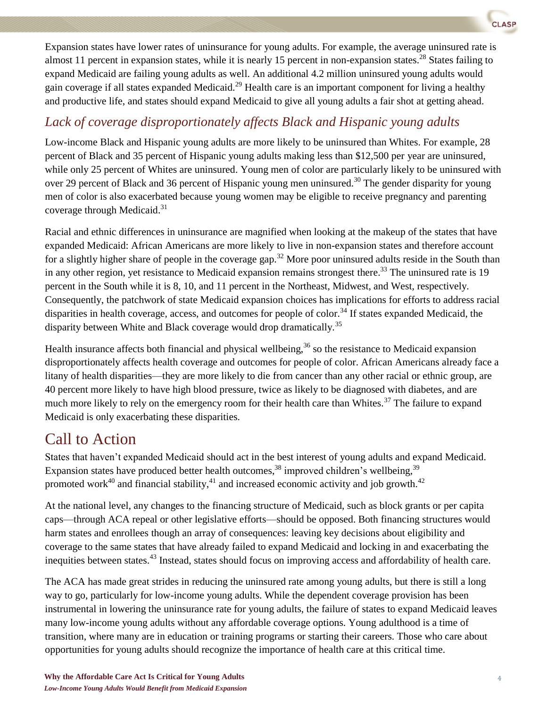Expansion states have lower rates of uninsurance for young adults. For example, the average uninsured rate is almost 11 percent in expansion states, while it is nearly 15 percent in non-expansion states.<sup>28</sup> States failing to expand Medicaid are failing young adults as well. An additional 4.2 million uninsured young adults would gain coverage if all states expanded Medicaid.<sup>29</sup> Health care is an important component for living a healthy and productive life, and states should expand Medicaid to give all young adults a fair shot at getting ahead.

### *Lack of coverage disproportionately affects Black and Hispanic young adults*

Low-income Black and Hispanic young adults are more likely to be uninsured than Whites. For example, 28 percent of Black and 35 percent of Hispanic young adults making less than \$12,500 per year are uninsured, while only 25 percent of Whites are uninsured. Young men of color are particularly likely to be uninsured with over 29 percent of Black and 36 percent of Hispanic young men uninsured.<sup>30</sup> The gender disparity for young men of color is also exacerbated because young women may be eligible to receive pregnancy and parenting coverage through Medicaid.<sup>31</sup>

Racial and ethnic differences in uninsurance are magnified when looking at the makeup of the states that have expanded Medicaid: African Americans are more likely to live in non-expansion states and therefore account for a slightly higher share of people in the coverage gap.<sup>32</sup> More poor uninsured adults reside in the South than in any other region, yet resistance to Medicaid expansion remains strongest there.<sup>33</sup> The uninsured rate is 19 percent in the South while it is 8, 10, and 11 percent in the Northeast, Midwest, and West, respectively. Consequently, the patchwork of state Medicaid expansion choices has implications for efforts to address racial disparities in health coverage, access, and outcomes for people of color.<sup>34</sup> If states expanded Medicaid, the disparity between White and Black coverage would drop dramatically.<sup>35</sup>

Health insurance affects both financial and physical wellbeing, $36$  so the resistance to Medicaid expansion disproportionately affects health coverage and outcomes for people of color. African Americans already face a litany of health disparities—they are more likely to die from cancer than any other racial or ethnic group, are 40 percent more likely to have high blood pressure, twice as likely to be diagnosed with diabetes, and are much more likely to rely on the emergency room for their health care than Whites.<sup>37</sup> The failure to expand Medicaid is only exacerbating these disparities.

# Call to Action

States that haven't expanded Medicaid should act in the best interest of young adults and expand Medicaid. Expansion states have produced better health outcomes,<sup>38</sup> improved children's wellbeing,<sup>39</sup> promoted work<sup>40</sup> and financial stability,<sup>41</sup> and increased economic activity and job growth.<sup>42</sup>

At the national level, any changes to the financing structure of Medicaid, such as block grants or per capita caps—through ACA repeal or other legislative efforts—should be opposed. Both financing structures would harm states and enrollees though an array of consequences: leaving key decisions about eligibility and coverage to the same states that have already failed to expand Medicaid and locking in and exacerbating the inequities between states.<sup>43</sup> Instead, states should focus on improving access and affordability of health care.

The ACA has made great strides in reducing the uninsured rate among young adults, but there is still a long way to go, particularly for low-income young adults. While the dependent coverage provision has been instrumental in lowering the uninsurance rate for young adults, the failure of states to expand Medicaid leaves many low-income young adults without any affordable coverage options. Young adulthood is a time of transition, where many are in education or training programs or starting their careers. Those who care about opportunities for young adults should recognize the importance of health care at this critical time.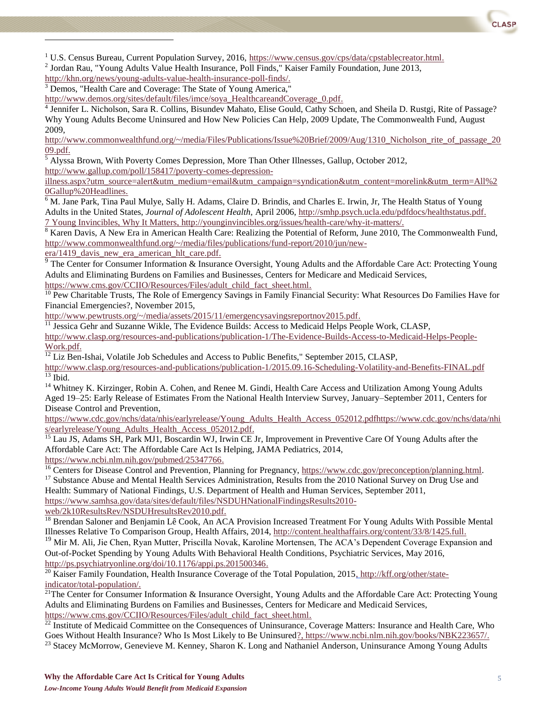

<sup>1</sup> U.S. Census Bureau, Current Population Survey, 2016, [https://www.census.gov/cps/data/cpstablecreator.html.](https://www.census.gov/cps/data/cpstablecreator.html)

<sup>2</sup> Jordan Rau, "Young Adults Value Health Insurance, Poll Finds," Kaiser Family Foundation, June 2013,

[http://khn.org/news/young-adults-value-health-insurance-poll-finds/.](http://khn.org/news/young-adults-value-health-insurance-poll-finds/)

l

<sup>3</sup> Demos, "Health Care and Coverage: The State of Young America,"

[http://www.demos.org/sites/default/files/imce/soya\\_HealthcareandCoverage\\_0.pdf.](http://www.demos.org/sites/default/files/imce/soya_HealthcareandCoverage_0.pdf)

<sup>4</sup> Jennifer L. Nicholson, Sara R. Collins, Bisundev Mahato, Elise Gould, Cathy Schoen, and Sheila D. Rustgi, Rite of Passage? Why Young Adults Become Uninsured and How New Policies Can Help, 2009 Update, The Commonwealth Fund, August 2009,

[http://www.commonwealthfund.org/~/media/Files/Publications/Issue%20Brief/2009/Aug/1310\\_Nicholson\\_rite\\_of\\_passage\\_20](http://www.commonwealthfund.org/~/media/Files/Publications/Issue%20Brief/2009/Aug/1310_Nicholson_rite_of_passage_2009.pdf) [09.pdf.](http://www.commonwealthfund.org/~/media/Files/Publications/Issue%20Brief/2009/Aug/1310_Nicholson_rite_of_passage_2009.pdf)

 $<sup>5</sup>$  Alyssa Brown, With Poverty Comes Depression, More Than Other Illnesses, Gallup, October 2012,</sup> [http://www.gallup.com/poll/158417/poverty-comes-depression-](http://www.gallup.com/poll/158417/poverty-comes-depression-illness.aspx?utm_source=alert&utm_medium=email&utm_campaign=syndication&utm_content=morelink&utm_term=All%20Gallup%20Headlines)

[illness.aspx?utm\\_source=alert&utm\\_medium=email&utm\\_campaign=syndication&utm\\_content=morelink&utm\\_term=All%2](http://www.gallup.com/poll/158417/poverty-comes-depression-illness.aspx?utm_source=alert&utm_medium=email&utm_campaign=syndication&utm_content=morelink&utm_term=All%20Gallup%20Headlines) [0Gallup%20Headlines.](http://www.gallup.com/poll/158417/poverty-comes-depression-illness.aspx?utm_source=alert&utm_medium=email&utm_campaign=syndication&utm_content=morelink&utm_term=All%20Gallup%20Headlines)

<sup>6</sup> M. Jane Park, Tina Paul Mulye, Sally H. Adams, Claire D. Brindis, and Charles E. Irwin, Jr, The Health Status of Young Adults in the United States, *Journal of Adolescent Health,* April 2006, [http://smhp.psych.ucla.edu/pdfdocs/healthstatus.pdf.](http://smhp.psych.ucla.edu/pdfdocs/healthstatus.pdf) 7 Young Invincibles, Why It Matters, [http://younginvincibles.org/issues/health-care/why-it-matters/.](http://younginvincibles.org/issues/health-care/why-it-matters/)

<sup>8</sup> Karen Davis, A New Era in American Health Care: Realizing the Potential of Reform, June 2010, The Commonwealth Fund, [http://www.commonwealthfund.org/~/media/files/publications/fund-report/2010/jun/new-](http://www.commonwealthfund.org/~/media/files/publications/fund-report/2010/jun/new-era/1419_davis_new_era_american_hlt_care.pdf)

era/1419 davis new era american hlt care.pdf.

<sup>9</sup> The Center for Consumer Information & Insurance Oversight, Young Adults and the Affordable Care Act: Protecting Young Adults and Eliminating Burdens on Families and Businesses, Centers for Medicare and Medicaid Services,

[https://www.cms.gov/CCIIO/Resources/Files/adult\\_child\\_fact\\_sheet.html.](https://www.cms.gov/CCIIO/Resources/Files/adult_child_fact_sheet.html)

 $10$  Pew Charitable Trusts, The Role of Emergency Savings in Family Financial Security: What Resources Do Families Have for Financial Emergencies?, November 2015,

[http://www.pewtrusts.org/~/media/assets/2015/11/emergencysavingsreportnov2015.pdf.](http://www.pewtrusts.org/~/media/assets/2015/11/emergencysavingsreportnov2015.pdf)

 $11$  Jessica Gehr and Suzanne Wikle, The Evidence Builds: Access to Medicaid Helps People Work, CLASP,

[http://www.clasp.org/resources-and-publications/publication-1/The-Evidence-Builds-Access-to-Medicaid-Helps-People-](http://www.clasp.org/resources-and-publications/publication-1/The-Evidence-Builds-Access-to-Medicaid-Helps-People-Work.pdf)[Work.pdf.](http://www.clasp.org/resources-and-publications/publication-1/The-Evidence-Builds-Access-to-Medicaid-Helps-People-Work.pdf)

 $\overline{^{12}$  Liz Ben-Ishai, Volatile Job Schedules and Access to Public Benefits," September 2015, CLASP,

<http://www.clasp.org/resources-and-publications/publication-1/2015.09.16-Scheduling-Volatility-and-Benefits-FINAL.pdf>  $\overline{^{13}}$  Ibid.

<sup>14</sup> Whitney K. Kirzinger, Robin A. Cohen, and Renee M. Gindi, Health Care Access and Utilization Among Young Adults Aged 19–25: Early Release of Estimates From the National Health Interview Survey, January–September 2011, Centers for Disease Control and Prevention,

[https://www.cdc.gov/nchs/data/nhis/earlyrelease/Young\\_Adults\\_Health\\_Access\\_052012.pdfhttps://www.cdc.gov/nchs/data/nhi](https://www.cdc.gov/nchs/data/nhis/earlyrelease/Young_Adults_Health_Access_052012.pdfhttps:/www.cdc.gov/nchs/data/nhis/earlyrelease/Young_Adults_Health_Access_052012.pdf) [s/earlyrelease/Young\\_Adults\\_Health\\_Access\\_052012.pdf.](https://www.cdc.gov/nchs/data/nhis/earlyrelease/Young_Adults_Health_Access_052012.pdfhttps:/www.cdc.gov/nchs/data/nhis/earlyrelease/Young_Adults_Health_Access_052012.pdf)

<sup>15</sup> Lau JS, Adams SH, Park MJ1, Boscardin WJ, Irwin CE Jr, Improvement in Preventive Care Of Young Adults after the Affordable Care Act: The Affordable Care Act Is Helping, JAMA Pediatrics, 2014, [https://www.ncbi.nlm.nih.gov/pubmed/25347766.](https://www.ncbi.nlm.nih.gov/pubmed/25347766)

<sup>16</sup> Centers for Disease Control and Prevention, Planning for Pregnancy, h[ttps://www.cdc.gov/preconception/planning.html.](tps://www.cdc.gov/preconception/planning.html) <sup>17</sup> Substance Abuse and Mental Health Services Administration, Results from the 2010 National Survey on Drug Use and

Health: Summary of National Findings, U.S. Department of Health and Human Services, September 2011, [https://www.samhsa.gov/data/sites/default/files/NSDUHNationalFindingsResults2010-](https://www.samhsa.gov/data/sites/default/files/NSDUHNationalFindingsResults2010-web/2k10ResultsRev/NSDUHresultsRev2010.pdf)

[web/2k10ResultsRev/NSDUHresultsRev2010.pdf.](https://www.samhsa.gov/data/sites/default/files/NSDUHNationalFindingsResults2010-web/2k10ResultsRev/NSDUHresultsRev2010.pdf)

<sup>18</sup> Brendan Saloner and Benjamin Lê Cook, An ACA Provision Increased Treatment For Young Adults With Possible Mental Illnesses Relative To Comparison Group, Health Affairs, 2014, [http://content.healthaffairs.org/content/33/8/1425.full.](http://content.healthaffairs.org/content/33/8/1425.full)

<sup>19</sup> Mir M. Ali, Jie Chen, Ryan Mutter, Priscilla Novak, Karoline Mortensen, The ACA's Dependent Coverage Expansion and Out-of-Pocket Spending by Young Adults With Behavioral Health Conditions, Psychiatric Services, May 2016, [http://ps.psychiatryonline.org/doi/10.1176/appi.ps.201500346.](http://ps.psychiatryonline.org/doi/10.1176/appi.ps.201500346)

<sup>20</sup> Kaiser Family Foundation, Health Insurance Coverage of the Total Population, 2015, [http://kff.org/other/state](http://kff.org/other/state-indicator/total-population/)[indicator/total-population/.](http://kff.org/other/state-indicator/total-population/)

<sup>21</sup>The Center for Consumer Information & Insurance Oversight, Young Adults and the Affordable Care Act: Protecting Young Adults and Eliminating Burdens on Families and Businesses, Centers for Medicare and Medicaid Services, [https://www.cms.gov/CCIIO/Resources/Files/adult\\_child\\_fact\\_sheet.html.](https://www.cms.gov/CCIIO/Resources/Files/adult_child_fact_sheet.html)

 $^{22}$  Institute of Medicaid Committee on the Consequences of Uninsurance, Coverage Matters: Insurance and Health Care, Who Goes Without Health Insurance? Who Is Most Likely to Be Uninsured?, [https://www.ncbi.nlm.nih.gov/books/NBK223657/.](https://www.ncbi.nlm.nih.gov/books/NBK223657/) <sup>23</sup> Stacey McMorrow, Genevieve M. Kenney, Sharon K. Long and Nathaniel Anderson, Uninsurance Among Young Adults

**Why the Affordable Care Act Is Critical for Young Adults** 5 *Low-Income Young Adults Would Benefit from Medicaid Expansion*